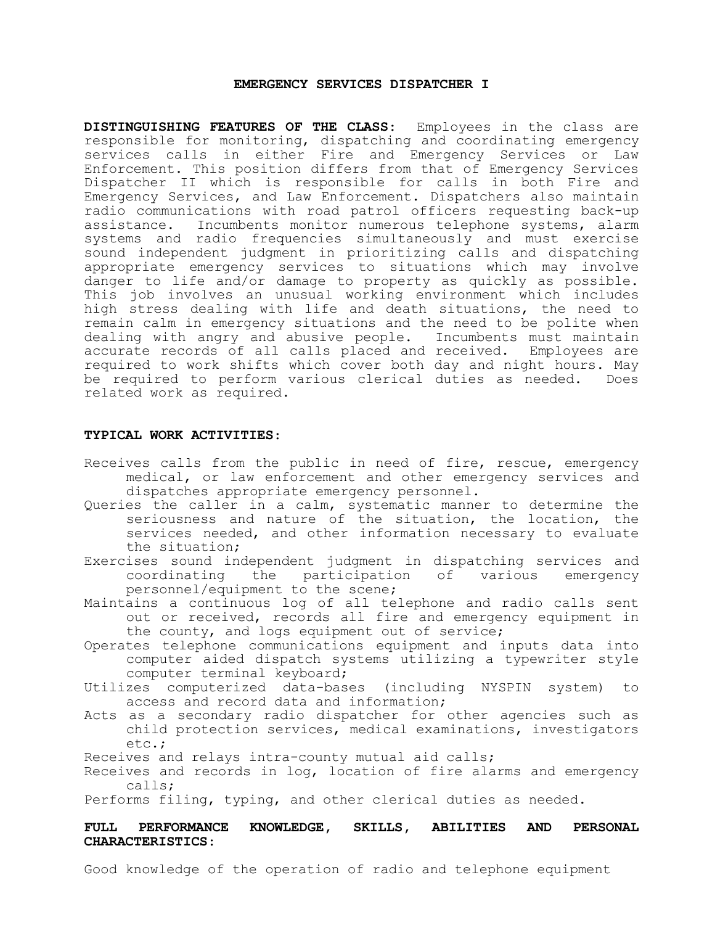## **EMERGENCY SERVICES DISPATCHER I**

**DISTINGUISHING FEATURES OF THE CLASS**: Employees in the class are responsible for monitoring, dispatching and coordinating emergency services calls in either Fire and Emergency Services or Law Enforcement. This position differs from that of Emergency Services Dispatcher II which is responsible for calls in both Fire and Emergency Services, and Law Enforcement. Dispatchers also maintain radio communications with road patrol officers requesting back-up assistance. Incumbents monitor numerous telephone systems, alarm systems and radio frequencies simultaneously and must exercise sound independent judgment in prioritizing calls and dispatching appropriate emergency services to situations which may involve danger to life and/or damage to property as quickly as possible. This job involves an unusual working environment which includes high stress dealing with life and death situations, the need to remain calm in emergency situations and the need to be polite when dealing with angry and abusive people. Incumbents must maintain accurate records of all calls placed and received. Employees are required to work shifts which cover both day and night hours. May be required to perform various clerical duties as needed. Does related work as required.

#### **TYPICAL WORK ACTIVITIES**:

- Receives calls from the public in need of fire, rescue, emergency medical, or law enforcement and other emergency services and dispatches appropriate emergency personnel.
- Queries the caller in a calm, systematic manner to determine the seriousness and nature of the situation, the location, the services needed, and other information necessary to evaluate the situation;
- Exercises sound independent judgment in dispatching services and coordinating the participation of various emergency personnel/equipment to the scene;
- Maintains a continuous log of all telephone and radio calls sent out or received, records all fire and emergency equipment in the county, and logs equipment out of service;
- Operates telephone communications equipment and inputs data into computer aided dispatch systems utilizing a typewriter style computer terminal keyboard;
- Utilizes computerized data-bases (including NYSPIN system) to access and record data and information;
- Acts as a secondary radio dispatcher for other agencies such as child protection services, medical examinations, investigators etc.;
- Receives and relays intra-county mutual aid calls;
- Receives and records in log, location of fire alarms and emergency calls;

Performs filing, typing, and other clerical duties as needed.

# **FULL PERFORMANCE KNOWLEDGE, SKILLS, ABILITIES AND PERSONAL CHARACTERISTICS**:

Good knowledge of the operation of radio and telephone equipment